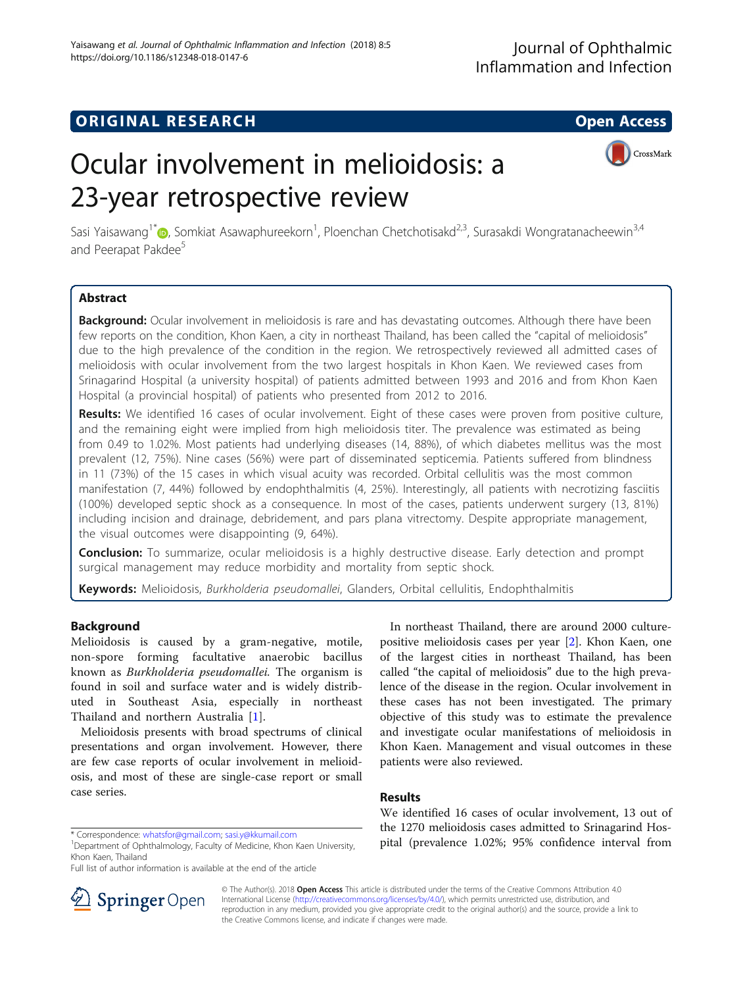## **ORIGINAL RESEARCH CONSUMING ACCESS**

# Ocular involvement in melioidosis: a 23-year retrospective review



Sasi Yaisawang<sup>1\*</sup>�[,](http://orcid.org/0000-0002-1737-0417) Somkiat Asawaphureekorn<sup>1</sup>, Ploenchan Chetchotisakd<sup>2,3</sup>, Surasakdi Wongratanacheewin<sup>3,4</sup> and Peerapat Pakdee<sup>5</sup>

## Abstract

Background: Ocular involvement in melioidosis is rare and has devastating outcomes. Although there have been few reports on the condition, Khon Kaen, a city in northeast Thailand, has been called the "capital of melioidosis" due to the high prevalence of the condition in the region. We retrospectively reviewed all admitted cases of melioidosis with ocular involvement from the two largest hospitals in Khon Kaen. We reviewed cases from Srinagarind Hospital (a university hospital) of patients admitted between 1993 and 2016 and from Khon Kaen Hospital (a provincial hospital) of patients who presented from 2012 to 2016.

Results: We identified 16 cases of ocular involvement. Eight of these cases were proven from positive culture, and the remaining eight were implied from high melioidosis titer. The prevalence was estimated as being from 0.49 to 1.02%. Most patients had underlying diseases (14, 88%), of which diabetes mellitus was the most prevalent (12, 75%). Nine cases (56%) were part of disseminated septicemia. Patients suffered from blindness in 11 (73%) of the 15 cases in which visual acuity was recorded. Orbital cellulitis was the most common manifestation (7, 44%) followed by endophthalmitis (4, 25%). Interestingly, all patients with necrotizing fasciitis (100%) developed septic shock as a consequence. In most of the cases, patients underwent surgery (13, 81%) including incision and drainage, debridement, and pars plana vitrectomy. Despite appropriate management, the visual outcomes were disappointing (9, 64%).

**Conclusion:** To summarize, ocular melioidosis is a highly destructive disease. Early detection and prompt surgical management may reduce morbidity and mortality from septic shock.

Keywords: Melioidosis, Burkholderia pseudomallei, Glanders, Orbital cellulitis, Endophthalmitis

## Background

Melioidosis is caused by a gram-negative, motile, non-spore forming facultative anaerobic bacillus known as Burkholderia pseudomallei. The organism is found in soil and surface water and is widely distributed in Southeast Asia, especially in northeast Thailand and northern Australia [[1](#page-8-0)].

Melioidosis presents with broad spectrums of clinical presentations and organ involvement. However, there are few case reports of ocular involvement in melioidosis, and most of these are single-case report or small case series.

<sup>1</sup>Department of Ophthalmology, Faculty of Medicine, Khon Kaen University, Khon Kaen, Thailand

Full list of author information is available at the end of the article

In northeast Thailand, there are around 2000 culturepositive melioidosis cases per year [\[2\]](#page-8-0). Khon Kaen, one of the largest cities in northeast Thailand, has been called "the capital of melioidosis" due to the high prevalence of the disease in the region. Ocular involvement in these cases has not been investigated. The primary objective of this study was to estimate the prevalence and investigate ocular manifestations of melioidosis in Khon Kaen. Management and visual outcomes in these patients were also reviewed.

## Results

We identified 16 cases of ocular involvement, 13 out of the 1270 melioidosis cases admitted to Srinagarind Hos\* Correspondence: [whatsfor@gmail.com](mailto:whatsfor@gmail.com); [sasi.y@kkumail.com](mailto:sasi.y@kkumail.com) and the 1270 inchordosis cases defining to string the 1.02%<br><sup>1</sup>Department of Ophthalmology. Faculty of Medicine. Khon Kaen University. **pital (prevalence 1.02%; 95%** 



© The Author(s). 2018 Open Access This article is distributed under the terms of the Creative Commons Attribution 4.0 International License ([http://creativecommons.org/licenses/by/4.0/\)](http://creativecommons.org/licenses/by/4.0/), which permits unrestricted use, distribution, and reproduction in any medium, provided you give appropriate credit to the original author(s) and the source, provide a link to the Creative Commons license, and indicate if changes were made.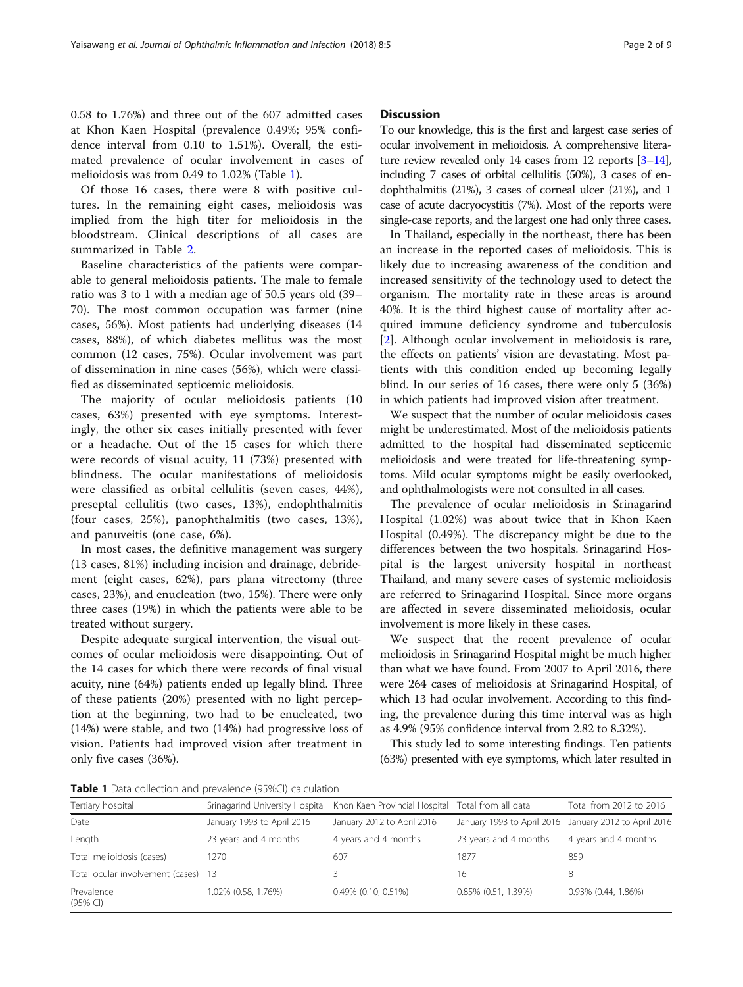0.58 to 1.76%) and three out of the 607 admitted cases at Khon Kaen Hospital (prevalence 0.49%; 95% confidence interval from 0.10 to 1.51%). Overall, the estimated prevalence of ocular involvement in cases of melioidosis was from 0.49 to 1.02% (Table 1).

Of those 16 cases, there were 8 with positive cultures. In the remaining eight cases, melioidosis was implied from the high titer for melioidosis in the bloodstream. Clinical descriptions of all cases are summarized in Table [2](#page-2-0).

Baseline characteristics of the patients were comparable to general melioidosis patients. The male to female ratio was 3 to 1 with a median age of 50.5 years old (39– 70). The most common occupation was farmer (nine cases, 56%). Most patients had underlying diseases (14 cases, 88%), of which diabetes mellitus was the most common (12 cases, 75%). Ocular involvement was part of dissemination in nine cases (56%), which were classified as disseminated septicemic melioidosis.

The majority of ocular melioidosis patients (10 cases, 63%) presented with eye symptoms. Interestingly, the other six cases initially presented with fever or a headache. Out of the 15 cases for which there were records of visual acuity, 11 (73%) presented with blindness. The ocular manifestations of melioidosis were classified as orbital cellulitis (seven cases, 44%), preseptal cellulitis (two cases, 13%), endophthalmitis (four cases, 25%), panophthalmitis (two cases, 13%), and panuveitis (one case, 6%).

In most cases, the definitive management was surgery (13 cases, 81%) including incision and drainage, debridement (eight cases, 62%), pars plana vitrectomy (three cases, 23%), and enucleation (two, 15%). There were only three cases (19%) in which the patients were able to be treated without surgery.

Despite adequate surgical intervention, the visual outcomes of ocular melioidosis were disappointing. Out of the 14 cases for which there were records of final visual acuity, nine (64%) patients ended up legally blind. Three of these patients (20%) presented with no light perception at the beginning, two had to be enucleated, two (14%) were stable, and two (14%) had progressive loss of vision. Patients had improved vision after treatment in only five cases (36%).

#### **Discussion**

To our knowledge, this is the first and largest case series of ocular involvement in melioidosis. A comprehensive literature review revealed only 14 cases from 12 reports [[3](#page-8-0)–[14](#page-8-0)], including 7 cases of orbital cellulitis (50%), 3 cases of endophthalmitis (21%), 3 cases of corneal ulcer (21%), and 1 case of acute dacryocystitis (7%). Most of the reports were single-case reports, and the largest one had only three cases.

In Thailand, especially in the northeast, there has been an increase in the reported cases of melioidosis. This is likely due to increasing awareness of the condition and increased sensitivity of the technology used to detect the organism. The mortality rate in these areas is around 40%. It is the third highest cause of mortality after acquired immune deficiency syndrome and tuberculosis [[2\]](#page-8-0). Although ocular involvement in melioidosis is rare, the effects on patients' vision are devastating. Most patients with this condition ended up becoming legally blind. In our series of 16 cases, there were only 5 (36%) in which patients had improved vision after treatment.

We suspect that the number of ocular melioidosis cases might be underestimated. Most of the melioidosis patients admitted to the hospital had disseminated septicemic melioidosis and were treated for life-threatening symptoms. Mild ocular symptoms might be easily overlooked, and ophthalmologists were not consulted in all cases.

The prevalence of ocular melioidosis in Srinagarind Hospital (1.02%) was about twice that in Khon Kaen Hospital (0.49%). The discrepancy might be due to the differences between the two hospitals. Srinagarind Hospital is the largest university hospital in northeast Thailand, and many severe cases of systemic melioidosis are referred to Srinagarind Hospital. Since more organs are affected in severe disseminated melioidosis, ocular involvement is more likely in these cases.

We suspect that the recent prevalence of ocular melioidosis in Srinagarind Hospital might be much higher than what we have found. From 2007 to April 2016, there were 264 cases of melioidosis at Srinagarind Hospital, of which 13 had ocular involvement. According to this finding, the prevalence during this time interval was as high as 4.9% (95% confidence interval from 2.82 to 8.32%).

This study led to some interesting findings. Ten patients (63%) presented with eye symptoms, which later resulted in

Table 1 Data collection and prevalence (95%CI) calculation

| Tertiary hospital                   |                            | Srinagarind University Hospital Khon Kaen Provincial Hospital Total from all data |                                                       | Total from 2012 to 2016 |
|-------------------------------------|----------------------------|-----------------------------------------------------------------------------------|-------------------------------------------------------|-------------------------|
| Date                                | January 1993 to April 2016 | January 2012 to April 2016                                                        | January 1993 to April 2016 January 2012 to April 2016 |                         |
| Length                              | 23 years and 4 months      | 4 years and 4 months                                                              | 23 years and 4 months                                 | 4 years and 4 months    |
| Total melioidosis (cases)           | 1270                       | 607                                                                               | 1877                                                  | 859                     |
| Total ocular involvement (cases) 13 |                            |                                                                                   | 16                                                    | 8                       |
| Prevalence<br>$(95%$ CI)            | 1.02% (0.58, 1.76%)        | $0.49\%$ $(0.10, 0.51\%)$                                                         | 0.85% (0.51, 1.39%)                                   | $0.93\%$ (0.44, 1.86%)  |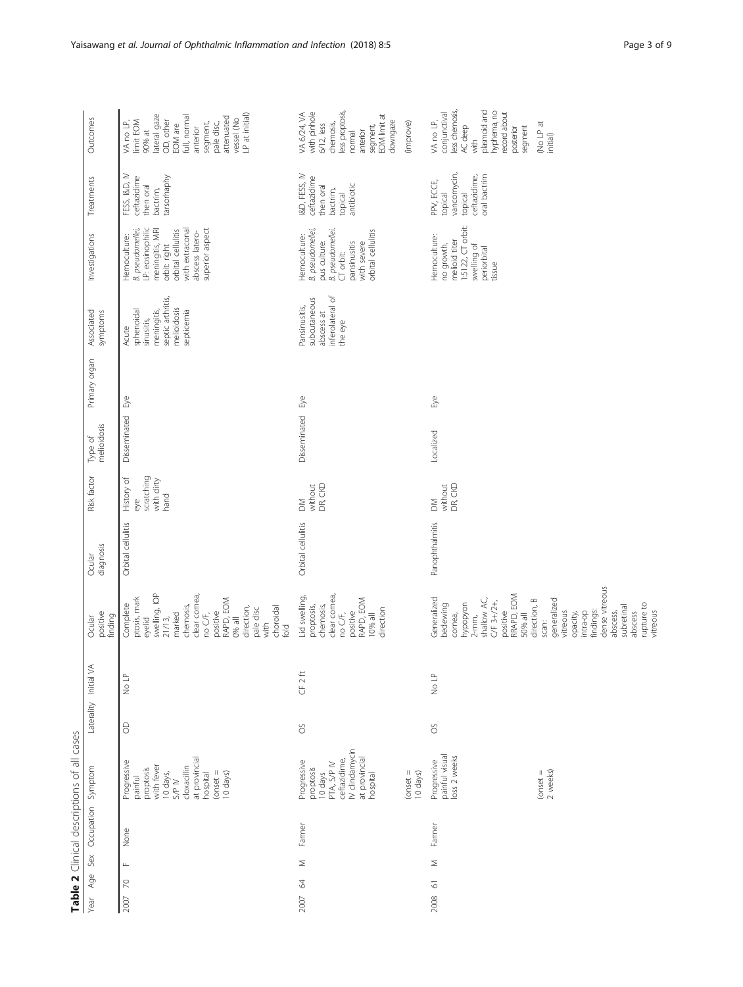<span id="page-2-0"></span>

| Table 2 Clinical descriptions of all cases |                                                                                                                                                   |         |                       |                                                                                                                                                                                                                |                     |                                                       |                        |               |                                                                                                    |                                                                                                                                                                        |                                                                                 |                                                                                                                                                                              |
|--------------------------------------------|---------------------------------------------------------------------------------------------------------------------------------------------------|---------|-----------------------|----------------------------------------------------------------------------------------------------------------------------------------------------------------------------------------------------------------|---------------------|-------------------------------------------------------|------------------------|---------------|----------------------------------------------------------------------------------------------------|------------------------------------------------------------------------------------------------------------------------------------------------------------------------|---------------------------------------------------------------------------------|------------------------------------------------------------------------------------------------------------------------------------------------------------------------------|
| Sex Occupation Symptom<br>Age<br>Year      |                                                                                                                                                   |         | Laterality Initial VA | positive<br>finding<br>Ocular                                                                                                                                                                                  | diagnosis<br>Ocular | Risk factor                                           | melioidosis<br>Type of | Primary organ | Associated<br>symptoms                                                                             | Investigations                                                                                                                                                         | Treatments                                                                      | Outcomes                                                                                                                                                                     |
| None<br>$\sqcup$<br>$\approx$<br>2007      | at provincial<br>Progressive<br>with fever<br>cloxacillin<br>proptosis<br>$(onset = 10 \text{ days})$<br>10 days,<br>hospital<br>painful<br>S/P N | $\odot$ | No LP                 | swelling, IOP<br>clear cornea,<br>ptosis, mark<br>positive<br>RAPD, EOM<br>Complete<br>chemosis,<br>choroidal<br>direction,<br>pale disc<br>no C/F,<br>marked<br>$21/13$ ,<br>0% all<br>eyelid<br>with<br>fold | Orbital cellulitis  | scratching<br>History of<br>with dirty<br>hand<br>eye | Disseminated           | Еyе           | septic arthritis,<br>melioidosis<br>meningitis,<br>sphenoidal<br>septicemia<br>sinusitis,<br>Acute | LP: eosinophilic<br>superior aspect<br>meningitis, MRI<br>B. pseudomellei,<br>orbit: right<br>orbital cellulitis<br>with extraconal<br>abscess latero-<br>Hemoculture: | FESS, I&D, IV<br>tarsorhaphy<br>ceftazidime<br>then oral<br>bactrim,            | vessel (No<br>LP at initial)<br>lateral gaze<br>EOM are<br>full, normal<br>attenuated<br>OD, other<br>limit EOM<br>VA no LP,<br>segment,<br>pale disc,<br>anterior<br>90% at |
| Farmer<br>Σ<br>$\mathcal{Z}$<br>2007       | <b>N</b> clindamycin<br>at provincial<br>hospital<br>ceftazidime,<br>Progressive<br>10 days<br>PTA, S/P IV<br>proptosis                           | SO      | CF 2ft                | clear cornea,<br>Lid swelling,<br>RAPD, EOM<br>chemosis,<br>proptosis,<br>direction<br>no C/F,<br>positive<br>10% all                                                                                          | Orbital cellulitis  | without<br>DR, CKD<br>$\geq$                          | Disseminated           | Бyе           | inferolateral of<br>subcutaneous<br>Pansinusitis,<br>abscess at<br>the eye                         | B. pseudomellei,<br>pus culture:<br><i>B. pseudomellei.</i><br>CT orbit:<br>orbital cellulitis<br>Hemoculture:<br>pansinusitis<br>with severe                          | I&D, FESS, IV<br>ceftazidime<br>then oral<br>antibiotic<br>bactrim,<br>topical  | less proptosis,<br>with pinhole<br>VA 6/24, VA<br>EOM limit at<br>downgaze<br>chemosis,<br>$6/12$ , less<br>segment,<br>anterior<br>nomal                                    |
|                                            | $($ onset $=$<br>10 days)                                                                                                                         |         |                       |                                                                                                                                                                                                                |                     |                                                       |                        |               |                                                                                                    |                                                                                                                                                                        |                                                                                 | (improve)                                                                                                                                                                    |
| Farmer<br>Σ<br>5<br>2008                   | painful visual<br>loss 2 weeks<br>Progressive                                                                                                     | SO      | No LP                 | RRAPD, EOM<br>Generalized<br>shallow AC,<br>C/F 3+/2+,<br>hypopyon<br>bedewing<br>positive<br>$2$ -mm,<br>50% all<br>cornea,                                                                                   | Panophthalmitis     | without<br>DR, CKD<br>$\geq$                          | Localized              | Бyе           |                                                                                                    | $15122$ , CT orbit:<br>Hemoculture:<br>melioid titer<br>no growth,<br>swelling of<br>periorbital<br>tissue                                                             | vancomycin,<br>oral bactrim<br>ceftazidime,<br>PPV, ECCE,<br>topical<br>topical | less chemosis,<br>AC deep<br>plasmoid and<br>hyphema, no<br>conjunctival<br>record about<br>VA no LP,<br>segment<br>posterior<br>with                                        |
|                                            | 2 weeks)<br>$($ onset $=$                                                                                                                         |         |                       | dense vitreous<br>generalized<br>direction, B<br>rupture to<br>subretinal<br>vitreous<br>findings:<br>intra-op<br>abscess,<br>vitreous<br>opacity,<br>abscess<br>scan:                                         |                     |                                                       |                        |               |                                                                                                    |                                                                                                                                                                        |                                                                                 | No LP at<br>initial)                                                                                                                                                         |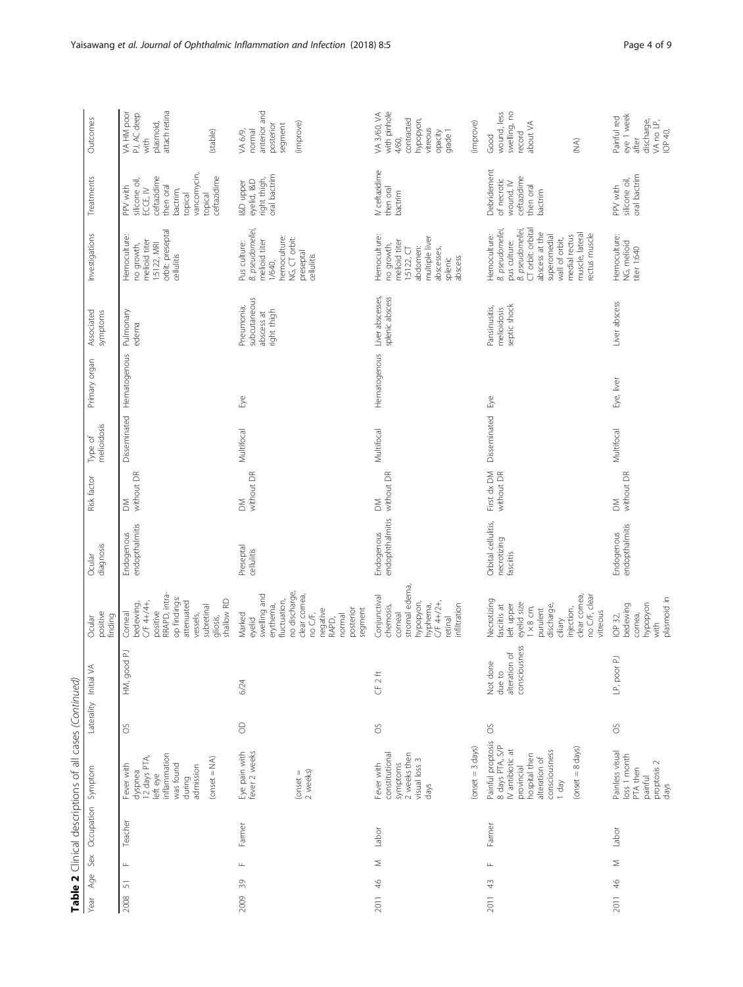| Table 2 Clinical descriptions of all cases (Continued) |            |                                                                                                                                                                       |                |                                                      |                                                                                                                                                                              |                                                 |                           |                        |                               |                                                         |                                                                                                                                                                                                    |                                                                                                                                   |                                                                                                 |
|--------------------------------------------------------|------------|-----------------------------------------------------------------------------------------------------------------------------------------------------------------------|----------------|------------------------------------------------------|------------------------------------------------------------------------------------------------------------------------------------------------------------------------------|-------------------------------------------------|---------------------------|------------------------|-------------------------------|---------------------------------------------------------|----------------------------------------------------------------------------------------------------------------------------------------------------------------------------------------------------|-----------------------------------------------------------------------------------------------------------------------------------|-------------------------------------------------------------------------------------------------|
| Sex<br>Age<br>Year                                     | Occupation | Symptom                                                                                                                                                               |                | Laterality Initial VA                                | positive<br>finding<br>Ocular                                                                                                                                                | diagnosis<br>Ocular                             | Risk factor               | melioidosis<br>Type of | Primary organ                 | Associated<br>symptoms                                  | Investigations                                                                                                                                                                                     | Treatments                                                                                                                        | Outcomes                                                                                        |
| $\frac{1}{2}$<br>$\overline{\mathfrak{m}}$<br>2008     | Teacher    | inflammation<br>12 days PTA,<br>left eye<br>$(onset = NA)$<br>was found<br>Fever with<br>admission<br>dyspnea<br>during                                               | SO             | HM, good PJ                                          | RRAPD, intra-<br>op findings:<br>shallow RD<br>C/F 4+/4+,<br>attenuated<br>bedewing,<br>subretinal<br>positive<br>Corneal<br>vessels,<br>gliosis,                            | endopthalmitis<br>Endogenous                    | without DR<br>$\geq$      |                        | Disseminated Hematogenous     | Pulmonary<br>edema                                      | orbit: preseptal<br>cellulitis<br>Hemoculture:<br>melioid titer<br>1:5122, MRI<br>no growth,                                                                                                       | vancomycin,<br>ceftazidime<br>ceftazidime<br>silicone oil,<br>PPV with<br>then oral<br>bactrim,<br>ECCE, IV<br>topical<br>topical | attach retina<br>VA HM poor<br>PJ, AC deep<br>plasmoid,<br>(stable)<br>with                     |
| $\sqcup$<br>$\sqrt{3}$<br>2009                         | Farmer     | Eye pain with<br>fever 2 weeks<br>$($ onset =<br>2 weeks)                                                                                                             | $\Theta$       | 6/24                                                 | no discharge,<br>swelling and<br>clear cornea,<br>fluctuation,<br>erythema,<br>segment<br>negative<br>posterior<br>no C/F,<br>Marked<br>normal<br>eyelid<br>RAPD,            | Preseptal<br>cellulitis                         | without DR<br>$\geq$      | Multifocal             | Буе                           | subcutaneous<br>Pneumonia,<br>right thigh<br>abscess at | B. pseudomellei,<br>hemoculture:<br>NG, CT orbit:<br>melioid titer<br>Pus culture:<br>preseptal<br>cellulitis<br>1/640,                                                                            | oral bactrim<br>right thigh,<br>eyelid, I&D<br>I&D upper                                                                          | anterior and<br>(improve)<br>segment<br>posterior<br>VA 6/9,<br>normal                          |
| Σ<br>$\frac{4}{6}$<br>2011                             | Labor      | 2 weeks then<br>constitutional<br>visual loss 3<br>symptoms<br>Fever with<br>days                                                                                     | SO             | CF <sub>2ft</sub>                                    | stromal edema,<br>Conjunctival<br>C/F 4+/2+,<br>hypopyon,<br>chemosis,<br>infiltration<br>hyphema,<br>corneal<br>retinal                                                     | Endogenous  <br>endophthalmitis                 | without DR<br>$\geq$      | Multifocal             | Hematogenous Liver abscesses, | splenic abscess                                         | Hemoculture:<br>multiple liver<br>melioid titer<br>no growth,<br>abdomen:<br>1:5122, T<br>abscesses,<br>abscess<br>splenic                                                                         | IV ceftazidime<br>then oral<br>bactrim                                                                                            | with pinhole<br>VA 3/60, VA<br>contracted<br>hypopyon,<br>vitreous<br>grade 1<br>qbedo<br>4/60, |
|                                                        |            | $(mset = 3 days)$                                                                                                                                                     |                |                                                      |                                                                                                                                                                              |                                                 |                           |                        |                               |                                                         |                                                                                                                                                                                                    |                                                                                                                                   | (improve)                                                                                       |
| $\sqcup$<br>$\frac{4}{3}$<br>2011                      | Farmer     | Painful proptosis<br>8 days PTA, S/P<br>$(mset = 8 \text{ days})$<br><b>N</b> antibiotic at<br>consciousness<br>hospital then<br>alteration of<br>provincial<br>1 day | SO             | consciousness<br>alteration of<br>Not done<br>due to | no C/F, clear<br>clear cornea<br>Necrotizing<br>eyelid size<br>left upper<br>fasciitis at<br>discharge,<br>$1 \times 8$ cm,<br>injection,<br>purulent<br>vitreous<br>ciliary | Orbital cellulitis,<br>necrotizing<br>fasciitis | First dx DM<br>without DR | Disseminated           | Еyе                           | septic shock<br>Pansinusitis,<br>melioidosis            | CT orbit: orbital<br>B. pseudomellei,<br>pus culture:<br>8. pseudomellei,<br>abscess at the<br>muscle, lateral<br>rectus muscle<br>superomedial<br>medial rectus<br>Hemoculture:<br>wall of orbit, | Debridement<br>ceftazidime<br>of necrotic<br>wound, IV<br>then oral<br>bactrim                                                    | swelling, no<br>wound, less<br>about VA<br>record<br>Good<br>$\widetilde{\mathbb{E}}$           |
| Σ<br>2011 46                                           | Labor      | Painless visual<br>loss 1 month<br>proptosis 2<br>days<br>PTA then<br>painful                                                                                         | $\rm ^{\circ}$ | $\overline{\mathbb{L}}$<br>LP, poor H                | plasmoid in<br>hypopyon<br>bedewing<br>cornea,<br>IOP 32,<br>with                                                                                                            | endopthalmitis<br>Endogenous                    | without DR<br>$\geq$      | Multifocal             | Eye, liver                    | Liver abscess                                           | Hemoculture:<br>NG, melioid<br>titer 1:640                                                                                                                                                         | oral bactrim<br>silicone oil,<br>PPV with                                                                                         | eye 1 week<br>Painful red<br>discharge,<br>VA no LP,<br>IOP 40,<br>after                        |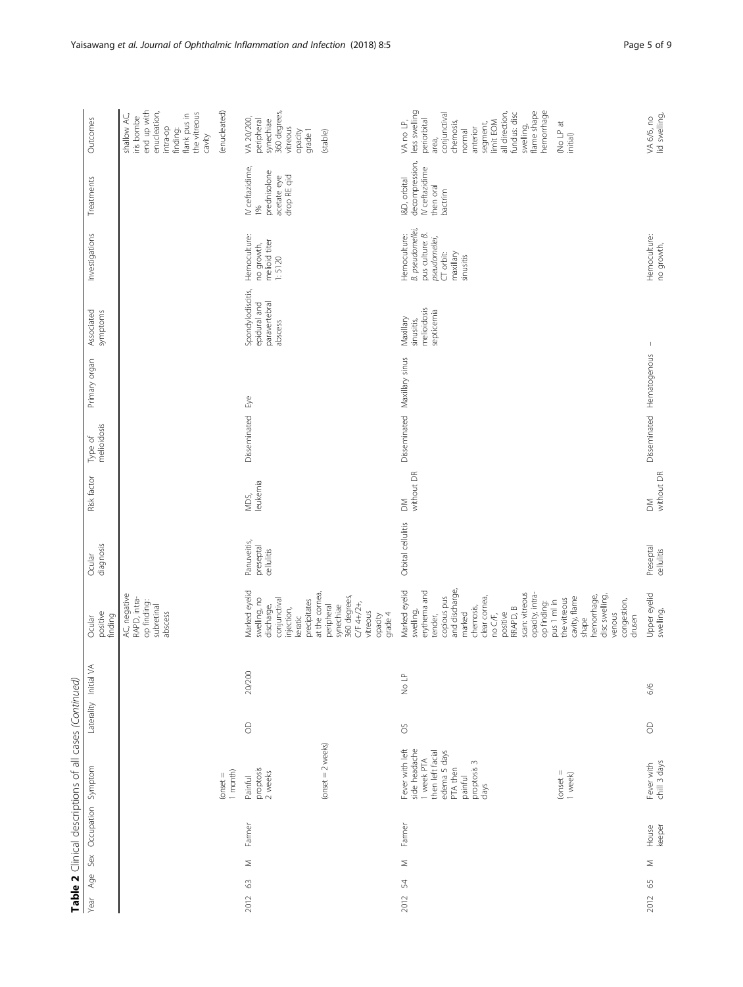| Table 2 Clinical descriptions of all cases (Continued) |                                                                                                                                  |                       |        |                                                                                                                                                                                                                       |                                        |                      |                        |                              |                                                               |                                                                                                            |                                                                          |                                                                                                                                                                                                            |
|--------------------------------------------------------|----------------------------------------------------------------------------------------------------------------------------------|-----------------------|--------|-----------------------------------------------------------------------------------------------------------------------------------------------------------------------------------------------------------------------|----------------------------------------|----------------------|------------------------|------------------------------|---------------------------------------------------------------|------------------------------------------------------------------------------------------------------------|--------------------------------------------------------------------------|------------------------------------------------------------------------------------------------------------------------------------------------------------------------------------------------------------|
| Sex Occupation Symptom<br>Age<br>Year                  |                                                                                                                                  | Laterality Initial VA |        | positive<br>finding<br>Ocular                                                                                                                                                                                         | diagnosis<br>Ocular                    | Risk factor          | melioidosis<br>Type of | Primary organ                | Associated<br>symptoms                                        | Investigations                                                                                             | Treatments                                                               | Outcomes                                                                                                                                                                                                   |
|                                                        |                                                                                                                                  |                       |        | AC, negative<br>RAPD, intra-<br>op finding:<br>subretinal<br>abscess                                                                                                                                                  |                                        |                      |                        |                              |                                                               |                                                                                                            |                                                                          | end up with<br>enucleation,<br>the vitreous<br>flank pus in<br>shallow AC,<br>iris bombe<br>intra-op<br>finding:<br>cavity                                                                                 |
|                                                        | $1$ month)<br>$($ onset $=$                                                                                                      |                       |        |                                                                                                                                                                                                                       |                                        |                      |                        |                              |                                                               |                                                                                                            |                                                                          | (enucleated)                                                                                                                                                                                               |
| Farmer<br>Σ<br>63<br>2012                              | proptosis<br>2 weeks<br>Painful                                                                                                  | $\circ$               | 20/200 | Marked eyelid<br>swelling, no<br>discharge,<br>conjunctival<br>precipitates<br>injection,<br>keratic                                                                                                                  | Panuveitis,<br>preseptal<br>cellulitis | leukemia<br>MDS,     | Disseminated           | Бyе                          | Spondylodiscitis,<br>paravertebral<br>epidural and<br>abscess | Hemoculture:<br>melioid titer<br>no growth,<br>1:5120                                                      | IV ceftazidime,<br>prednisolone<br>acetate eye<br>drop RE qid<br>1%      | 360 degrees,<br>VA 20/200,<br>peripheral<br>synechiae<br>vitreous<br>grade 1<br>opacity                                                                                                                    |
|                                                        | $(mset = 2 \text{ weeks})$                                                                                                       |                       |        | at the cornea,<br>360 degrees,<br>C/F 4+/2+,<br>peripheral<br>synechiae<br>vitreous<br>grade 4<br>opacity                                                                                                             |                                        |                      |                        |                              |                                                               |                                                                                                            |                                                                          | (stable)                                                                                                                                                                                                   |
| Farmer<br>Σ<br>54<br>2012                              | Fever with left<br>side headache<br>then left facial<br>edema 5 days<br>1 week PTA<br>proptosis 3<br>PTA then<br>painful<br>days | $\delta$              | No LP  | and discharge,<br>Marked eyelid<br>erythema and<br>scan: vitreous<br>opacity, intra-<br>copious pus<br>clear cornea,<br>op finding:<br>chemosis,<br>RRAPD, B<br>swelling,<br>positive<br>marked<br>no C/F,<br>tender, | Orbital cellulitis                     | without DR<br>$\geq$ |                        | Disseminated Maxillary sinus | melioidosis<br>septicemia<br>Maxillary<br>sinusitis,          | B. pseudomellei<br>pus culture: B.<br>Hemoculture:<br>pseudomellei,<br>CT orbit:<br>maxillary<br>sinusitis | decompression,<br>IV ceftazidime<br>I&D, orbital<br>then oral<br>bactrim | less swelling<br>hemorrhage<br>flame shape<br>all direction,<br>conjunctival<br>fundus: disc<br>periorbital<br>limit EOM<br>chemosis,<br>VA no LP,<br>segment,<br>swelling,<br>anterior<br>normal<br>area, |
|                                                        | $($ onset $=$<br>1 week)                                                                                                         |                       |        | disc swelling,<br>hemorrhage,<br>cavity, flame<br>the vitreous<br>congestion,<br>pus 1 ml in<br>venous<br>drusen<br>shape                                                                                             |                                        |                      |                        |                              |                                                               |                                                                                                            |                                                                          | No LP at<br>initial)                                                                                                                                                                                       |
| keeper<br>House<br>$\leq$<br>$65$<br>2012              | chill 3 days<br>Fever with                                                                                                       | 6/6<br>8              |        | Upper eyelid<br>swelling,                                                                                                                                                                                             | Preseptal<br>cellulitis                | without DR<br>$\geq$ |                        | Disseminated Hematogenous    |                                                               | Hemoculture:<br>no growth,                                                                                 |                                                                          | VA 6/6, no<br>lid swelling,                                                                                                                                                                                |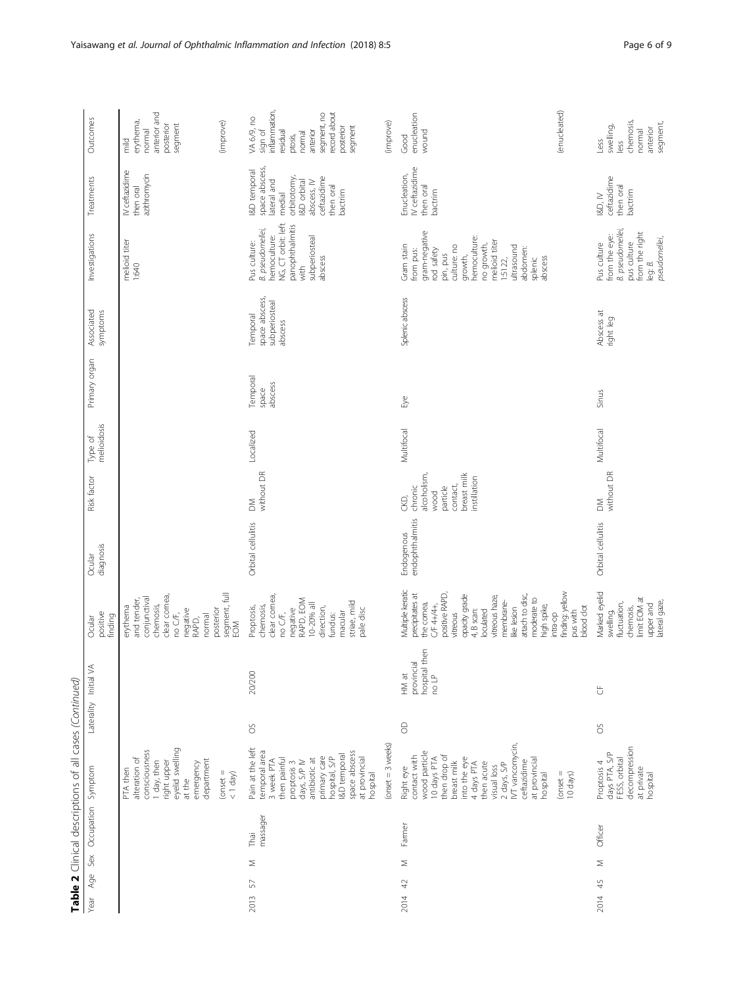|                                     | 5<br>2<br>י הסוגר בין הסוגר השנייה בין השנייה בין השנייה בין השנייה בין השנייה בין השנייה בין השנייה בין השנייה בין השני                                                                                                          | <u>נטענו</u>                                             |                                                                                                                                                                                                                                              |                               |                                                                                              |                        |                              |                                                        |                                                                                                                                                                                                           |                                                                                                                                                        |                                                                                                                                            |
|-------------------------------------|-----------------------------------------------------------------------------------------------------------------------------------------------------------------------------------------------------------------------------------|----------------------------------------------------------|----------------------------------------------------------------------------------------------------------------------------------------------------------------------------------------------------------------------------------------------|-------------------------------|----------------------------------------------------------------------------------------------|------------------------|------------------------------|--------------------------------------------------------|-----------------------------------------------------------------------------------------------------------------------------------------------------------------------------------------------------------|--------------------------------------------------------------------------------------------------------------------------------------------------------|--------------------------------------------------------------------------------------------------------------------------------------------|
| Sex<br>Age<br>Year                  | Occupation Symptom                                                                                                                                                                                                                | Laterality Initial VA                                    | positive<br>finding<br>Ocular                                                                                                                                                                                                                | diagnosis<br>Ocular           | Risk factor                                                                                  | melioidosis<br>Type of | Primary organ                | Associated<br>symptoms                                 | Investigations                                                                                                                                                                                            | Treatments                                                                                                                                             | Outcomes                                                                                                                                   |
|                                     | eyelid swelling<br>consciousness<br>alteration of<br>department<br>1 day, then<br>right upper<br>emergency<br>PTA then<br>at the                                                                                                  |                                                          | clear cornea,<br>no C/F,<br>conjunctival<br>and tender,<br>chemosis,<br>erythema<br>posterior<br>negative<br>normal<br>RAPD,                                                                                                                 |                               |                                                                                              |                        |                              |                                                        | melioid titer<br>1:640                                                                                                                                                                                    | IV ceftazidime<br>azithromycin<br>then oral                                                                                                            | anterior and<br>erythema,<br>segment<br>posterior<br>normal<br>$\frac{1}{2}$                                                               |
|                                     | $(onset = 1$                                                                                                                                                                                                                      |                                                          | segment, full<br><b>ING</b>                                                                                                                                                                                                                  |                               |                                                                                              |                        |                              |                                                        |                                                                                                                                                                                                           |                                                                                                                                                        | (improve)                                                                                                                                  |
| massager<br>Thai<br>Σ<br>57<br>2013 | Pain at the left<br>temporal area<br>space abscess<br>I&D temporal<br>primary care<br>hospital, S/P<br>then painful<br>at provincial<br>3 week PTA<br>antibiotic at<br>days, S/P IV<br>proptosis 3<br>hospital                    | 20/200<br>SO                                             | clear cornea,<br>negative<br>RAPD, EOM<br>striae, mild<br>$10-20%$ all<br>Proptosis,<br>chemosis,<br>direction,<br>pale disc<br>no C/F,<br>macular<br>fundus:                                                                                | Orbital cellulitis            | without DR<br>$\leq$                                                                         | Localized              | Temporal<br>abscess<br>space | space abscess,<br>subperiosteal<br>Temporal<br>abscess | NG, CT orbit: left<br>panophthalmitis<br>B. pseudomellei,<br>hemoculture:<br>subperiosteal<br>Pus culture:<br>abscess<br>with                                                                             | space abscess,<br>I&D temporal<br>ceftazidime<br>orbitotomy,<br>lateral and<br><b>I&amp;D</b> orbital<br>abscess, IV<br>then oral<br>bactrim<br>medial | inflammation,<br>record about<br>segment, no<br>VA 6/9, no<br>segment<br>posterior<br>sign of<br>residual<br>anterior<br>normal<br>ptosis, |
|                                     | $(mset = 3 \text{ weeks})$                                                                                                                                                                                                        |                                                          |                                                                                                                                                                                                                                              |                               |                                                                                              |                        |                              |                                                        |                                                                                                                                                                                                           |                                                                                                                                                        | (improve)                                                                                                                                  |
| Farmer<br>Σ<br>42<br>2014           | IVT vancomycin,<br>wood particle<br>then drop of<br>contact with<br>into the eye<br>10 days PTA<br>at provincial<br>ceftazidime<br>breast milk<br>4 days PTA<br>2 days, S/P<br>then acute<br>visual loss<br>Right eye<br>hospital | hospital then<br>provincial<br>HM at<br>e LP<br>$\Theta$ | Multiple keratic<br>precipitates at<br>positive RAPD,<br>ppacity grade<br>attach to disc,<br>vitreous haze,<br>moderate to<br>membrane-<br>the comea,<br>CF 4+/4+,<br>high spike,<br>like lesion<br>4, B scan:<br>oculated<br><i>itreous</i> | endophthalmitis<br>Endogenous | breast milk<br>alcoholism<br>instillation<br>contact,<br>particle<br>chronic<br>wood<br>CKD, | Multifocal             | Eye                          | Splenic abscess                                        | gram-negative<br>rod safety<br>hemoculture:<br>melioid titer<br>Gram stain<br>culture: no<br>no growth,<br>ultrasound<br>abdomen:<br>from pus:<br>pin, pus<br>growth,<br>abscess<br>splenic<br>$1:5122$ , | IV ceftazidime<br>Enucleation,<br>then oral<br>bactrim                                                                                                 | enucleation<br>wound<br>Good                                                                                                               |
|                                     | $(mset =$<br>10 days)                                                                                                                                                                                                             |                                                          | înding: yellow<br>blood dot<br>pus with<br>intra-op                                                                                                                                                                                          |                               |                                                                                              |                        |                              |                                                        |                                                                                                                                                                                                           |                                                                                                                                                        | (enucleated)                                                                                                                               |
| Officer<br>$\leq$<br>45<br>2014     | decompression<br>days PTA, S/P<br>FESS, orbital<br>Proptosis 4<br>at private<br>hospital                                                                                                                                          | ₿<br>SO                                                  | Marked eyelid<br>limit EOM at<br>upper and<br>lateral gaze,<br>fluctuation,<br>chemosis,<br>swelling,                                                                                                                                        | Orbital cellulitis            | without DR<br>$\geq$                                                                         | Multifocal             | Sinus                        | Abscess at<br>right leg                                | <b>B.</b> pseudomellei,<br>from the right<br>from the eye:<br>leg: 8.<br>pseudomellei,<br>pus culture<br>Pus culture                                                                                      | ceftazidime<br>then oral<br>bactrim<br>RD, N                                                                                                           | chemosis,<br>segment,<br>swelling,<br>anterior<br>normal<br>Less<br>less                                                                   |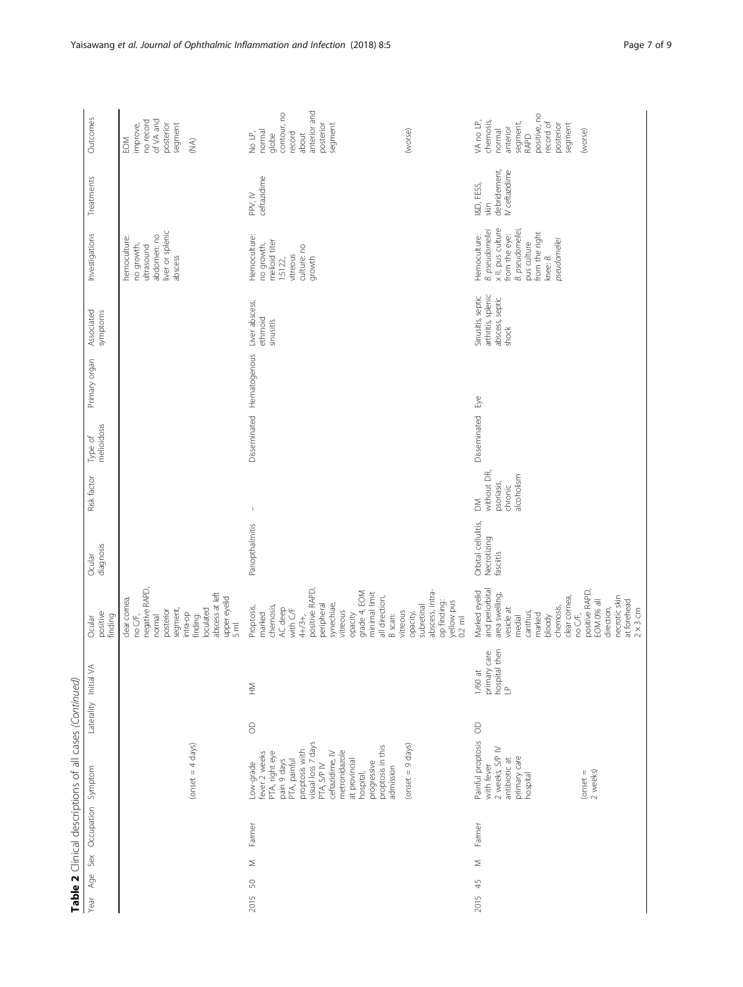| Table 2 Clinical descriptions of all cases (Continued) |                                                                                                                                                                                                                                                       |          |                                                        |                                                                                                                                                                                                                                   |                                                 |                                                                                                                                                                                                                                                                                                                                                                                  |                        |                           |                                                                     |                                                                                                                                                                       |                                                      |                                                                                                                                  |
|--------------------------------------------------------|-------------------------------------------------------------------------------------------------------------------------------------------------------------------------------------------------------------------------------------------------------|----------|--------------------------------------------------------|-----------------------------------------------------------------------------------------------------------------------------------------------------------------------------------------------------------------------------------|-------------------------------------------------|----------------------------------------------------------------------------------------------------------------------------------------------------------------------------------------------------------------------------------------------------------------------------------------------------------------------------------------------------------------------------------|------------------------|---------------------------|---------------------------------------------------------------------|-----------------------------------------------------------------------------------------------------------------------------------------------------------------------|------------------------------------------------------|----------------------------------------------------------------------------------------------------------------------------------|
| Age Sex Occupation Symptom<br>Year                     |                                                                                                                                                                                                                                                       |          | Laterality Initial VA                                  | positive<br>finding<br>Ocular                                                                                                                                                                                                     | diagnosis<br>Ocular                             | Risk factor                                                                                                                                                                                                                                                                                                                                                                      | melioidosis<br>Type of | Primary organ             | Associated<br>symptoms                                              | Investigations                                                                                                                                                        | Treatments                                           | Outcomes                                                                                                                         |
|                                                        | $(onset = 4 \text{ days})$                                                                                                                                                                                                                            |          |                                                        | negative RAPD,<br>abscess at left<br>upper eyelid<br>dear cornea,<br>segment,<br>loculated<br>posterior<br>intra-op<br>no C/F,<br>finding:<br>normal<br>$\overline{5}$ ml                                                         |                                                 |                                                                                                                                                                                                                                                                                                                                                                                  |                        |                           |                                                                     | liver or splenic<br>abdomen: no<br>hemoculture:<br>no growth,<br>ultrasound<br>abscess                                                                                |                                                      | no record<br>of VA and<br>posterior<br>segment<br>improve,<br>EOM<br>$\widetilde{\mathbb{R}}$                                    |
| Farmer<br>$\leq$<br>50<br>2015                         | visual loss 7 days<br>proptosis in this<br>proptosis with<br>metronidazole<br>PTA, right eye<br>ceftazidime, IV<br>fever 2 weeks<br>PTA, painful<br>pain 9 days<br>at provincial<br>progressive<br>Low-grade<br>PTA, S/P IV<br>admission<br>hospital, | $\Theta$ | $\mathop{\gtrless}\limits_{\mathrel{\sqsubset}}$       | positive RAPD,<br>grade 4, EOM<br>minimal limit<br>all direction,<br>synechiae,<br>peripheral<br>chemosis,<br>Proptosis,<br>AC deep<br>with C/F<br>vitreous<br>vitreous<br>marked<br>opacity<br>B scan:<br>4+/3+,                 | Panopthalmitis                                  | $\begin{array}{c} \rule{0pt}{2.5ex} \rule{0pt}{2.5ex} \rule{0pt}{2.5ex} \rule{0pt}{2.5ex} \rule{0pt}{2.5ex} \rule{0pt}{2.5ex} \rule{0pt}{2.5ex} \rule{0pt}{2.5ex} \rule{0pt}{2.5ex} \rule{0pt}{2.5ex} \rule{0pt}{2.5ex} \rule{0pt}{2.5ex} \rule{0pt}{2.5ex} \rule{0pt}{2.5ex} \rule{0pt}{2.5ex} \rule{0pt}{2.5ex} \rule{0pt}{2.5ex} \rule{0pt}{2.5ex} \rule{0pt}{2.5ex} \rule{0$ |                        | Disseminated Hematogenous | Liver abscess,<br>ethmoid<br>sinusitis                              | Hemoculture:<br>no growth,<br>melioid titer<br>culture: no<br>vitreous<br>growth<br>$1:5122$ ,                                                                        | ceftazidime<br>PPV, IV                               | anterior and<br>contour, no<br>posterior<br>segment<br>normal<br>record<br>No LP,<br>globe<br>about                              |
|                                                        | $(onset = 9 \text{ days})$                                                                                                                                                                                                                            |          |                                                        | abscess, intra-<br>op finding:<br>yellow pus<br>0.2 ml<br>subretinal<br>opacity,                                                                                                                                                  |                                                 |                                                                                                                                                                                                                                                                                                                                                                                  |                        |                           |                                                                     |                                                                                                                                                                       |                                                      | (worse)                                                                                                                          |
| Farmer<br>Σ<br>45<br>2015                              | Painful proptosis<br>2 weeks, S/P IV<br>primary care<br>antibiotic at<br>with fever<br>2 weeks)<br>$($ onset $=$<br>hospital                                                                                                                          | $\Theta$ | then<br>care<br>primary<br>hospital<br>LP<br>$1/60$ at | and periorbital<br>Marked eyelid<br>no C/F,<br>positive RAPD,<br>area swelling,<br>necrotic skin<br>clear cornea,<br>at forehead<br>EOM 0% all<br>chemosis,<br>direction,<br>vesicle at<br>canthus,<br>marked<br>bloody<br>medial | Orbital cellulitis,<br>Necrotizing<br>fasciitis | without DR,<br>alcoholism<br>psoriasis,<br>chronic<br>$\geq$                                                                                                                                                                                                                                                                                                                     | Disseminated           | Eye                       | arthritis, splenic<br>Sinusitis, septic<br>abscess, septic<br>shock | x II, pus culture<br><b>B.</b> pseudomellei<br>B. pseudomellei,<br>from the right<br>Hemoculture:<br>from the eye:<br>pseudomellei<br>pus culture<br>knee: <i>B</i> . | debridement,<br>IV ceftazidime<br>I&D, FESS,<br>skin | positive, no<br>VA no LP,<br>chemosis,<br>record of<br>segment,<br>posterior<br>segment<br>anterior<br>(worse)<br>normal<br>RAPD |
|                                                        |                                                                                                                                                                                                                                                       |          |                                                        | $2 \times 3$ cm                                                                                                                                                                                                                   |                                                 |                                                                                                                                                                                                                                                                                                                                                                                  |                        |                           |                                                                     |                                                                                                                                                                       |                                                      |                                                                                                                                  |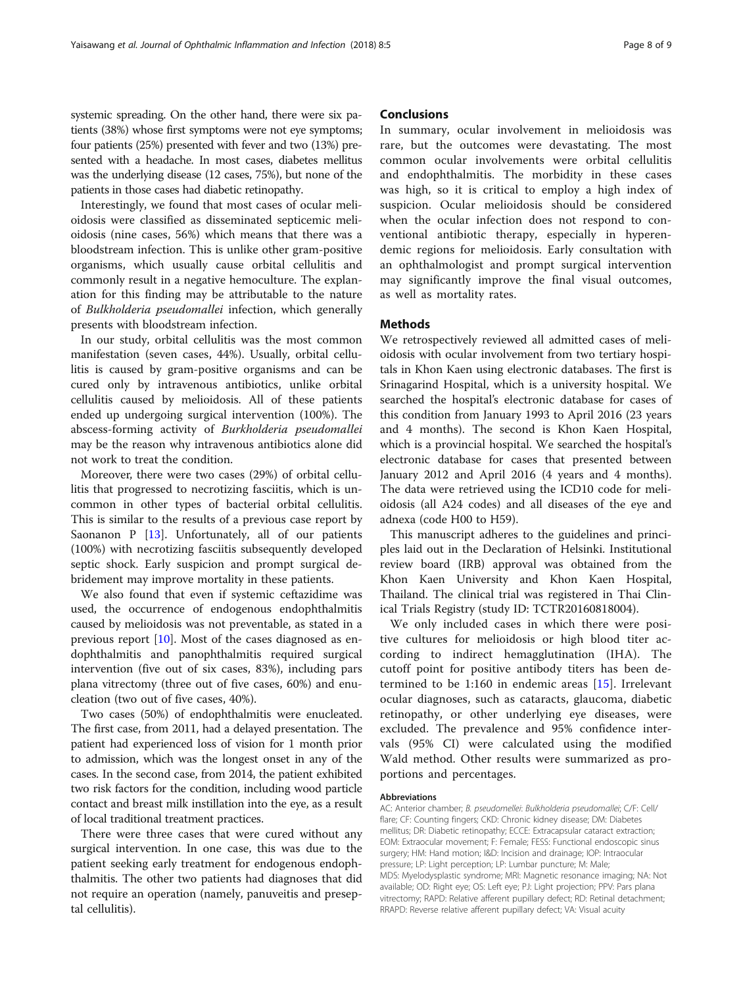systemic spreading. On the other hand, there were six patients (38%) whose first symptoms were not eye symptoms; four patients (25%) presented with fever and two (13%) presented with a headache. In most cases, diabetes mellitus was the underlying disease (12 cases, 75%), but none of the patients in those cases had diabetic retinopathy.

Interestingly, we found that most cases of ocular melioidosis were classified as disseminated septicemic melioidosis (nine cases, 56%) which means that there was a bloodstream infection. This is unlike other gram-positive organisms, which usually cause orbital cellulitis and commonly result in a negative hemoculture. The explanation for this finding may be attributable to the nature of Bulkholderia pseudomallei infection, which generally presents with bloodstream infection.

In our study, orbital cellulitis was the most common manifestation (seven cases, 44%). Usually, orbital cellulitis is caused by gram-positive organisms and can be cured only by intravenous antibiotics, unlike orbital cellulitis caused by melioidosis. All of these patients ended up undergoing surgical intervention (100%). The abscess-forming activity of Burkholderia pseudomallei may be the reason why intravenous antibiotics alone did not work to treat the condition.

Moreover, there were two cases (29%) of orbital cellulitis that progressed to necrotizing fasciitis, which is uncommon in other types of bacterial orbital cellulitis. This is similar to the results of a previous case report by Saonanon P [\[13\]](#page-8-0). Unfortunately, all of our patients (100%) with necrotizing fasciitis subsequently developed septic shock. Early suspicion and prompt surgical debridement may improve mortality in these patients.

We also found that even if systemic ceftazidime was used, the occurrence of endogenous endophthalmitis caused by melioidosis was not preventable, as stated in a previous report [\[10](#page-8-0)]. Most of the cases diagnosed as endophthalmitis and panophthalmitis required surgical intervention (five out of six cases, 83%), including pars plana vitrectomy (three out of five cases, 60%) and enucleation (two out of five cases, 40%).

Two cases (50%) of endophthalmitis were enucleated. The first case, from 2011, had a delayed presentation. The patient had experienced loss of vision for 1 month prior to admission, which was the longest onset in any of the cases. In the second case, from 2014, the patient exhibited two risk factors for the condition, including wood particle contact and breast milk instillation into the eye, as a result of local traditional treatment practices.

There were three cases that were cured without any surgical intervention. In one case, this was due to the patient seeking early treatment for endogenous endophthalmitis. The other two patients had diagnoses that did not require an operation (namely, panuveitis and preseptal cellulitis).

### **Conclusions**

In summary, ocular involvement in melioidosis was rare, but the outcomes were devastating. The most common ocular involvements were orbital cellulitis and endophthalmitis. The morbidity in these cases was high, so it is critical to employ a high index of suspicion. Ocular melioidosis should be considered when the ocular infection does not respond to conventional antibiotic therapy, especially in hyperendemic regions for melioidosis. Early consultation with an ophthalmologist and prompt surgical intervention may significantly improve the final visual outcomes, as well as mortality rates.

## **Methods**

We retrospectively reviewed all admitted cases of melioidosis with ocular involvement from two tertiary hospitals in Khon Kaen using electronic databases. The first is Srinagarind Hospital, which is a university hospital. We searched the hospital's electronic database for cases of this condition from January 1993 to April 2016 (23 years and 4 months). The second is Khon Kaen Hospital, which is a provincial hospital. We searched the hospital's electronic database for cases that presented between January 2012 and April 2016 (4 years and 4 months). The data were retrieved using the ICD10 code for melioidosis (all A24 codes) and all diseases of the eye and adnexa (code H00 to H59).

This manuscript adheres to the guidelines and principles laid out in the Declaration of Helsinki. Institutional review board (IRB) approval was obtained from the Khon Kaen University and Khon Kaen Hospital, Thailand. The clinical trial was registered in Thai Clinical Trials Registry (study ID: TCTR20160818004).

We only included cases in which there were positive cultures for melioidosis or high blood titer according to indirect hemagglutination (IHA). The cutoff point for positive antibody titers has been determined to be 1:160 in endemic areas [[15\]](#page-8-0). Irrelevant ocular diagnoses, such as cataracts, glaucoma, diabetic retinopathy, or other underlying eye diseases, were excluded. The prevalence and 95% confidence intervals (95% CI) were calculated using the modified Wald method. Other results were summarized as proportions and percentages.

#### Abbreviations

AC: Anterior chamber; B. pseudomellei: Bulkholderia pseudomallei; C/F: Cell/ flare; CF: Counting fingers; CKD: Chronic kidney disease; DM: Diabetes mellitus; DR: Diabetic retinopathy; ECCE: Extracapsular cataract extraction; EOM: Extraocular movement; F: Female; FESS: Functional endoscopic sinus surgery; HM: Hand motion; I&D: Incision and drainage; IOP: Intraocular pressure; LP: Light perception; LP: Lumbar puncture; M: Male; MDS: Myelodysplastic syndrome; MRI: Magnetic resonance imaging; NA: Not available; OD: Right eye; OS: Left eye; PJ: Light projection; PPV: Pars plana vitrectomy; RAPD: Relative afferent pupillary defect; RD: Retinal detachment; RRAPD: Reverse relative afferent pupillary defect; VA: Visual acuity